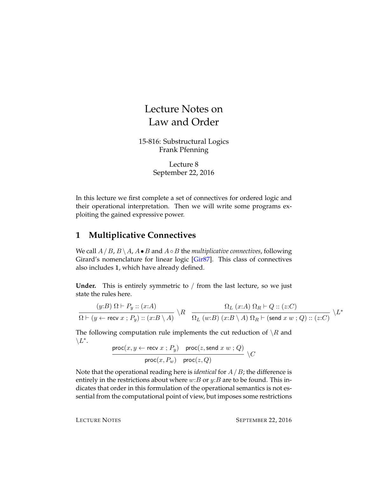# Lecture Notes on Law and Order

15-816: Substructural Logics Frank Pfenning

> Lecture 8 September 22, 2016

In this lecture we first complete a set of connectives for ordered logic and their operational interpretation. Then we will write some programs exploiting the gained expressive power.

## **1 Multiplicative Connectives**

We call  $A / B$ ,  $B \setminus A$ ,  $A ∘ B$  and  $A ∘ B$  the *multiplicative connectives*, following Girard's nomenclature for linear logic [\[Gir87\]](#page-9-0). This class of connectives also includes 1, which have already defined.

Under. This is entirely symmetric to / from the last lecture, so we just state the rules here.

$$
\frac{(y:B)\ \Omega \vdash P_y :: (x:A)}{\Omega \vdash (y \leftarrow \text{recv } x \ ; \ P_y) :: (x:B\setminus A)} \ \backslash R \quad \frac{\Omega_L \ (x:A)\ \Omega_R \vdash Q :: (z:C)}{\Omega_L \ (w:B)\ (x:B\setminus A) \ \Omega_R \vdash (\text{send } x \ w \ ; \ Q) :: (z:C)} \ \backslash L^*
$$

The following computation rule implements the cut reduction of  $\setminus R$  and  $\setminus L^*$ .

 $\mathsf{proc}(x, y \leftarrow \mathsf{recv}\; x \mathrel{;} P_y) \quad \mathsf{proc}(z, \mathsf{send}\; x\; w \mathrel{;} Q)$  $\mathsf{proc}(x, P_w)$  proc $(z, Q)$  $\setminus C$ 

Note that the operational reading here is *identical* for A /B; the difference is entirely in the restrictions about where  $w:B$  or  $y:B$  are to be found. This indicates that order in this formulation of the operational semantics is not essential from the computational point of view, but imposes some restrictions

LECTURE NOTES SEPTEMBER 22, 2016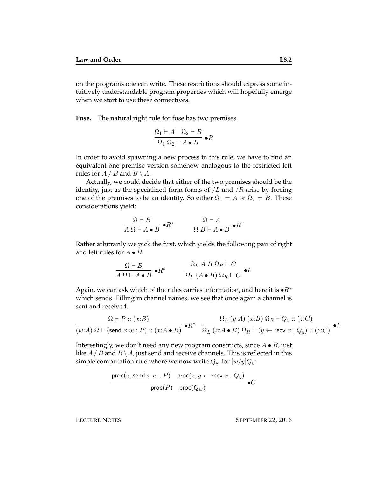on the programs one can write. These restrictions should express some intuitively understandable program properties which will hopefully emerge when we start to use these connectives.

**Fuse.** The natural right rule for fuse has two premises.

$$
\frac{\Omega_1 \vdash A \quad \Omega_2 \vdash B}{\Omega_1 \Omega_2 \vdash A \bullet B} \bullet R
$$

In order to avoid spawning a new process in this rule, we have to find an equivalent one-premise version somehow analogous to the restricted left rules for  $A / B$  and  $B \setminus A$ .

Actually, we could decide that either of the two premises should be the identity, just as the specialized form forms of  $/L$  and  $/R$  arise by forcing one of the premises to be an identity. So either  $\Omega_1 = A$  or  $\Omega_2 = B$ . These considerations yield:

$$
\frac{\Omega \vdash B}{A \Omega \vdash A \bullet B} \bullet R^* \qquad \frac{\Omega \vdash A}{\Omega B \vdash A \bullet B} \bullet R^{\dagger}
$$

Rather arbitrarily we pick the first, which yields the following pair of right and left rules for  $A \bullet B$ 

$$
\frac{\Omega \vdash B}{A \Omega \vdash A \bullet B} \bullet R^* \qquad \frac{\Omega_L \ A \ B \ \Omega_R \vdash C}{\Omega_L \ (A \bullet B) \ \Omega_R \vdash C} \bullet L
$$

Again, we can ask which of the rules carries information, and here it is  $\bullet R^*$ which sends. Filling in channel names, we see that once again a channel is sent and received.

$$
\frac{\Omega \vdash P :: (x:B)}{(w:A) \ \Omega \vdash (\mathsf{send}\ x\ w\ ;\ P) :: (x:A \bullet B)} \bullet R^* \quad \frac{\Omega_L\ (y:A)\ (x:B)\ \Omega_R \vdash Q_y :: (z:C)}{\Omega_L\ (x:A \bullet B)\ \Omega_R \vdash (y \leftarrow \mathsf{recv}\ x\ ; Q_y) :: (z:C)} \bullet L
$$

Interestingly, we don't need any new program constructs, since  $A \bullet B$ , just like  $A/B$  and  $B \setminus A$ , just send and receive channels. This is reflected in this simple computation rule where we now write  $Q_w$  for  $[w/y]Q_v$ :

$$
\frac{\text{proc}(x, \text{send } x \ w ; P) \quad \text{proc}(z, y \leftarrow \text{recv } x ; Q_y)}{\text{proc}(P) \quad \text{proc}(Q_w)} \bullet C
$$

LECTURE NOTES SEPTEMBER 22, 2016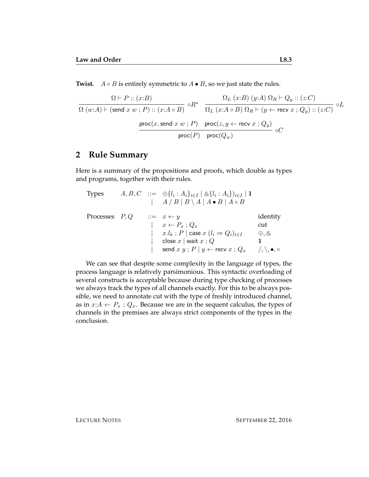**Twist.**  $A \circ B$  is entirely symmetric to  $A \bullet B$ , so we just state the rules.

$$
\frac{\Omega \vdash P :: (x:B)}{\Omega (w:A) \vdash (\mathsf{send}\ x\ w\ ;\ P) :: (x:A \circ B)} \circ R^* \quad \frac{\Omega_L\ (x:B)\ (y:A)\ \Omega_R \vdash Q_y :: (z:C)}{\Omega_L\ (x:A \circ B)\ \Omega_R \vdash (y \leftarrow \mathsf{recv}\ x\ ; Q_y) :: (z:C)} \circ L}{\operatorname{proc}(x,\mathsf{send}\ x\ w\ ;\ P) \quad \mathsf{proc}(z,y \leftarrow \mathsf{recv}\ x\ ; Q_y)} \circ C
$$

#### **2 Rule Summary**

Here is a summary of the propositions and proofs, which double as types and programs, together with their rules.

| <b>Types</b>     |  | $A, B, C \ ::= \ \oplus \{l_i : A_i\}_{i \in I} \mid \otimes \{l_i : A_i\}_{i \in I} \mid \mathbf{1}$ |                                           |
|------------------|--|-------------------------------------------------------------------------------------------------------|-------------------------------------------|
|                  |  | $\mid A/B   B \setminus A   A \bullet B   A \circ B$                                                  |                                           |
| Processes $P, Q$ |  | $ ::= x \leftarrow y$                                                                                 | identity                                  |
|                  |  | $x \leftarrow P_x$ ; $Q_x$                                                                            | cut                                       |
|                  |  | $x.l_k$ ; P   case $x~(l_i \Rightarrow Q_i)_{i \in I}$                                                | $\oplus, \otimes$                         |
|                  |  | close $x \mid$ wait $x : Q$                                                                           |                                           |
|                  |  | send $x y$ ; $P   y \leftarrow$ recv $x ; Q_x$                                                        | $\langle \, , \, \rangle, \bullet, \circ$ |

We can see that despite some complexity in the language of types, the process language is relatively parsimonious. This syntactic overloading of several constructs is acceptable because during type checking of processes we always track the types of all channels exactly. For this to be always possible, we need to annotate cut with the type of freshly introduced channel, as in  $x:A \leftarrow P_x$ ;  $Q_x$ . Because we are in the sequent calculus, the types of channels in the premises are always strict components of the types in the conclusion.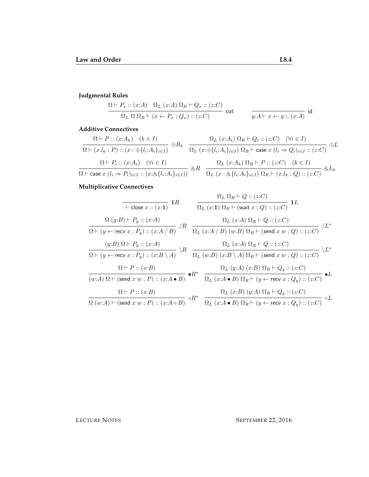## **Judgmental Rules**

$$
\frac{\Omega \vdash P_x :: (x:A) \quad \Omega_L \ (x:A) \ \Omega_R \vdash Q_x :: (z:C)}{\Omega_L \ \Omega \ \Omega_R \vdash (x \leftarrow P_x \ ; Q_x) :: (z:C)} \ \text{cut} \qquad \qquad \frac{}{y:A \vdash x \leftarrow y :: (x:A)} \ \text{id}
$$

#### **Additive Connectives**

$$
\frac{\Omega \vdash P :: (x:A_k) \quad (k \in I)}{\Omega \vdash (x.l_k ; P) :: (x : \oplus \{l_i:A_i\}_{i \in I})} \oplus R_k \quad \frac{\Omega_L (x:A_i) \Omega_R \vdash Q_i :: (z:C) \quad (\forall i \in I)}{\Omega_L (x : \oplus \{l_i:A_i\}_{i \in I}) \Omega_R \vdash \text{case } x (l_i \Rightarrow Q_i)_{i \in I} :: (z:C)} \oplus L
$$
\n
$$
\frac{\Omega \vdash P_i :: (x:A_i) \quad (\forall i \in I)}{\Omega \vdash \text{case } x (l_i \Rightarrow P_i)_{i \in I} :: (x : \otimes \{l_i:A_i\}_{i \in I})} \otimes R \quad \frac{\Omega_L (x:A_k) \Omega_R \vdash P :: (z:C) \quad (k \in I)}{\Omega_L (x : \otimes \{l_i:A_i\}_{i \in I}) \Omega_R \vdash (x.l_k ; Q) :: (z:C)} \otimes L_k
$$

## **Multiplicative Connectives**

$$
\begin{array}{c|c|c|c|c} \hline \text{ $\begin{array}{c} \hline \text{ $\begin{array}{c} \hline \text{ $\begin{array}{c} \hline \text{ $\begin{array}{c} \hline \text{ $\begin{array}{c} \hline \text{ $\begin{array}{c} \hline \text{ $\begin{array}{c} \hline \text{ $\begin{array}{c} \hline \text{ $\begin{array}{c} \hline \text{ $\begin{array}{c} \hline \text{ $\begin{array}{c} \hline \text{ $\begin{array}{c} \hline \text{ $\begin{array}{c} \hline \text{ $\begin{array}{c} \hline \text{ $\begin{array}{c} \hline \text{ $\begin{array}{c} \hline \text{ $\begin{array}{c} \hline \text{ $\begin{array}{c} \hline \text{ $\begin{array}{c} \hline \text{ $\begin{array}{c} \hline \text{ $\begin{array}{c} \hline \text{ $\begin{array}{c} \hline \text{ $\begin{array}{c} \hline \text{ $\begin{array}{c} \hline \text{ $\begin{array}{c} \hline \text{ $\begin{array}{c} \hline \text{ $\begin{array}{c} \hline \text{ $\begin{array}{c} \hline \text{ $\begin{array}{c} \hline \text{ $\begin{array}{c} \hline \text{ $\begin{array}{c} \hline \text{ $\begin{array}{c} \hline \text{ $\begin{array}{c} \hline \text{ $\begin{array}{c} \hline \text{ $\begin{array}{c} \hline \text{ $\begin{array}{c} \hline \text{ $\begin{array}{c} \hline \text{ $\begin{array}{c} \hline \text{ $\begin{array}{c} \hline \text{ $\begin{array}{c} \hline \text{ $\begin{array}{c} \hline \text{ $\begin{array}{c} \hline \text{ $\begin{array}{c} \hline \text{ $\begin{array}{c} \hline \text{ $\begin{array}{c} \hline \text{ $\begin{array}{c} \hline \text{ $\begin{array}{c} \hline \text{ $\begin{array}{c} \hline \text{ $\begin{array}{c} \hline \text{ $\begin{array}{c} \hline \text{ $\begin{array}{c} \hline \text{ $\begin{array}{c} \hline \text{ $\begin{array}{c} \hline \text{ $\begin{array}{c} \hline \text{ $\begin{array}{c} \hline \text{ $\begin{array}{c} \hline \text{ $\begin{array}{c} \hline \
$$

LECTURE NOTES SEPTEMBER 22, 2016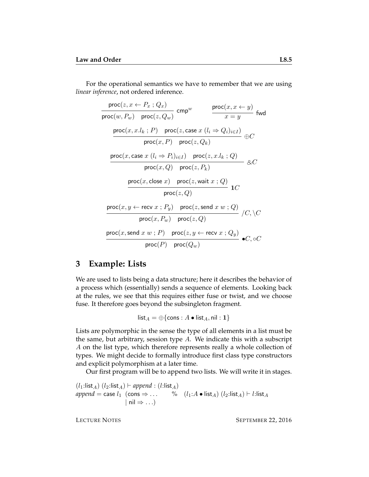For the operational semantics we have to remember that we are using *linear inference*, not ordered inference.

$$
\frac{\text{proc}(z, x \leftarrow P_x : Q_x)}{\text{proc}(w, P_w) - \text{proc}(z, Q_w)} \text{cmp}^w \qquad \frac{\text{proc}(x, x \leftarrow y)}{x = y} \text{fwd}
$$
\n
$$
\frac{\text{proc}(x, x.l_k ; P) - \text{proc}(z, \text{case } x (l_i \Rightarrow Q_i)_{i \in I})}{\text{proc}(x, P) - \text{proc}(z, Q_k)} \oplus C
$$
\n
$$
\frac{\text{proc}(x, \text{case } x (l_i \Rightarrow P_i)_{i \in I}) - \text{proc}(z, x.l_k ; Q)}{\text{proc}(x, Q) - \text{proc}(z, P_k)} \text{QCD}
$$
\n
$$
\frac{\text{proc}(x, \text{close } x) - \text{proc}(z, \text{wait } x ; Q)}{\text{proc}(z, Q)} \text{1C}
$$
\n
$$
\frac{\text{proc}(x, y \leftarrow \text{recv } x ; P_y) - \text{proc}(z, \text{send } x w ; Q)}{\text{proc}(x, P_w) - \text{proc}(z, Q)} / C, \setminus C
$$
\n
$$
\frac{\text{proc}(x, \text{send } x w ; P) - \text{proc}(z, y \leftarrow \text{recv } x ; Q_y)}{\text{proc}(P) - \text{proc}(Q_w)} \bullet C, \circ C
$$

#### **3 Example: Lists**

We are used to lists being a data structure; here it describes the behavior of a process which (essentially) sends a sequence of elements. Looking back at the rules, we see that this requires either fuse or twist, and we choose fuse. It therefore goes beyond the subsingleton fragment.

$$
\mathsf{list}_A = \oplus \{\mathsf{cons} : A \bullet \mathsf{list}_A, \mathsf{nil} : \mathbf{1}\}
$$

Lists are polymorphic in the sense the type of all elements in a list must be the same, but arbitrary, session type  $A$ . We indicate this with a subscript A on the list type, which therefore represents really a whole collection of types. We might decide to formally introduce first class type constructors and explicit polymorphism at a later time.

Our first program will be to append two lists. We will write it in stages.

 $(l_1:list_A)$   $(l_2:list_A) \vdash append : (l:list_A)$ *append* = case  $l_1$  (cons  $\Rightarrow$  ... % ( $l_1: A \cdot \text{list}_A$ )  $(l_2:list_A) \vdash l:list_A$  $| \text{ nil} \Rightarrow ...$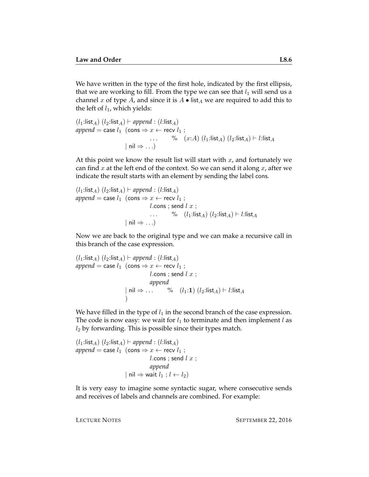We have written in the type of the first hole, indicated by the first ellipsis, that we are working to fill. From the type we can see that  $l_1$  will send us a channel x of type A, and since it is  $A \bullet \mathsf{list}_A$  we are required to add this to the left of  $l_1$ , which yields:

$$
(l_1:list_A) (l_2:list_A) \vdash append : (l:list_A)
$$
\n
$$
append = case l_1 (\text{cons} \Rightarrow x \leftarrow \text{recv } l_1 ;
$$
\n
$$
\dots \qquad \qquad \qquad \text{`` } (u:Id) (l_1:list_A) (l_2:list_A) \vdash l:list_A
$$
\n
$$
| \text{ nil} \Rightarrow \dots )
$$

At this point we know the result list will start with  $x$ , and fortunately we can find  $x$  at the left end of the context. So we can send it along  $x$ , after we indicate the result starts with an element by sending the label cons.

$$
(l_1:list_A) (l_2:list_A) \vdash append : (l:list_A)
$$
  
append = case  $l_1$  (cons  $\Rightarrow x \leftarrow$  recv  $l_1$ ;  
l.cons ; send l x ;  
... %  $(l_1:list_A) (l_2:list_A) \vdash l:list_A$   

$$
| \text{ nil } \Rightarrow ...)
$$

Now we are back to the original type and we can make a recursive call in this branch of the case expression.

$$
(l_1:list_A) (l_2:list_A) \vdash append : (l:list_A)
$$
  
append = case  $l_1$  (cons  $\Rightarrow x \leftarrow$  recv  $l_1$  ;  
l. cons ; send l x ;  
append  

$$
\mid \text{nil} \Rightarrow \dots \quad \text{%} \quad (l_1:1) (l_2:list_A) \vdash l:list_A
$$
)

We have filled in the type of  $l_1$  in the second branch of the case expression. The code is now easy: we wait for  $l_1$  to terminate and then implement  $l$  as  $l_2$  by forwarding. This is possible since their types match.

$$
(l_1:list_A) (l_2:list_A) \vdash append : (l:list_A)
$$
  
append = case  $l_1$  (cons  $\Rightarrow x \leftarrow$  recv  $l_1$  ;  
l.cons ; send l x ;  
append  
| nil  $\Rightarrow$  wait  $l_1$  ;  $l \leftarrow l_2$ )

It is very easy to imagine some syntactic sugar, where consecutive sends and receives of labels and channels are combined. For example: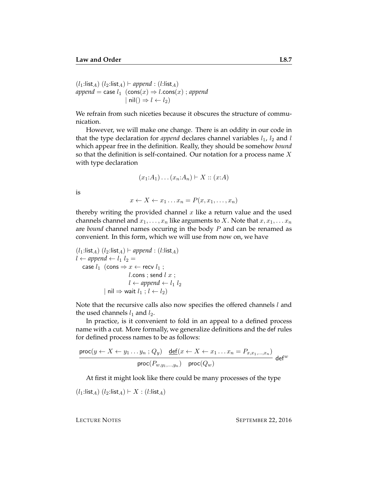$(l_1:list_A)$   $(l_2:list_A)$   $\vdash$  append : (l:list<sub>A</sub>)  $append = \text{case } l_1 \text{ (cons}(x) \Rightarrow l.\text{cons}(x)$ ; *append*  $| \text{nil}() \Rightarrow l \leftarrow l_2)$ 

We refrain from such niceties because it obscures the structure of communication.

However, we will make one change. There is an oddity in our code in that the type declaration for *append* declares channel variables  $l_1$ ,  $l_2$  and  $l$ which appear free in the definition. Really, they should be somehow *bound* so that the definition is self-contained. Our notation for a process name  $X$ with type declaration

$$
(x_1:A_1)\ldots(x_n:A_n)\vdash X::(x:A)
$$

is

$$
x \leftarrow X \leftarrow x_1 \dots x_n = P(x, x_1, \dots, x_n)
$$

thereby writing the provided channel  $x$  like a return value and the used channels channel and  $x_1, \ldots, x_n$  like arguments to X. Note that  $x, x_1, \ldots x_n$ are *bound* channel names occuring in the body P and can be renamed as convenient. In this form, which we will use from now on, we have

$$
(l_1:list_A) (l_2:list_A) \vdash append : (l:list_A)
$$
  

$$
l \leftarrow append \leftarrow l_1 l_2 =
$$
  
case  $l_1$  (cons  $\Rightarrow x \leftarrow$  recv  $l_1$  ;  

$$
l.\text{cons } ; \text{send } l \ x ;
$$
  

$$
l \leftarrow append \leftarrow l_1 l_2
$$
  

$$
| \text{ nil } \Rightarrow \text{wait } l_1 ; l \leftarrow l_2)
$$

Note that the recursive calls also now specifies the offered channels  $l$  and the used channels  $l_1$  and  $l_2$ .

In practice, is it convenient to fold in an appeal to a defined process name with a cut. More formally, we generalize definitions and the def rules for defined process names to be as follows:

$$
\frac{\text{proc}(y \leftarrow X \leftarrow y_1 \dots y_n; Q_y) \quad \underline{\text{def}}(x \leftarrow X \leftarrow x_1 \dots x_n = P_{x, x_1, \dots, x_n})}{\text{proc}(P_{w, y_1, \dots, y_n})} \ \text{proc}(Q_w) \quad \text{def}^w
$$

At first it might look like there could be many processes of the type

 $(l_1:list_A)$   $(l_2:list_A) \vdash X : (l:list_A)$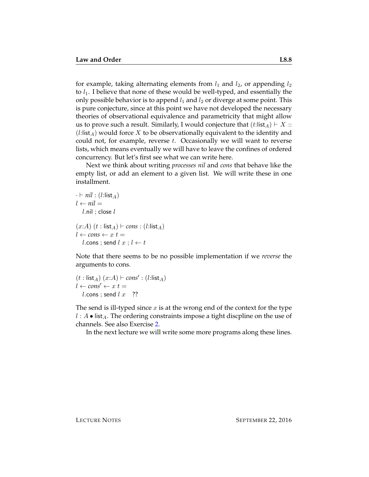for example, taking alternating elements from  $l_1$  and  $l_2$ , or appending  $l_2$ to  $l_1$ . I believe that none of these would be well-typed, and essentially the only possible behavior is to append  $l_1$  and  $l_2$  or diverge at some point. This is pure conjecture, since at this point we have not developed the necessary theories of observational equivalence and parametricity that might allow us to prove such a result. Similarly, I would conjecture that  $(t:list_A) \vdash X ::$  $(l:list_A)$  would force X to be observationally equivalent to the identity and could not, for example, reverse  $t$ . Occasionally we will want to reverse lists, which means eventually we will have to leave the confines of ordered concurrency. But let's first see what we can write here.

Next we think about writing *processes nil* and *cons* that behave like the empty list, or add an element to a given list. We will write these in one installment.

$$
\therefore \vdash nil : (l:list_A)
$$
  
\n
$$
l \leftarrow nil =
$$
  
\n
$$
l \text{.nil} ; \text{close } l
$$
  
\n
$$
(x:A) \ (t : list_A) \vdash cons : (l:list_A)
$$
  
\n
$$
l \leftarrow cons \leftarrow x \ t =
$$
  
\n
$$
l \text{.cons} ; \text{send } l \ x ; l \leftarrow t
$$

Note that there seems to be no possible implementation if we *reverse* the arguments to cons.

$$
\begin{array}{l}(t: \mathsf{list}_A) \ (x:A) \vdash cons' : (l: \mathsf{list}_A) \\ l \leftarrow cons' \leftarrow x \ t = \\ l.\mathsf{cons} \ ; \ \mathsf{send} \ l \ x \quad \text{??}\end{array}
$$

The send is ill-typed since  $x$  is at the wrong end of the context for the type  $l : A \bullet \text{list}_A$ . The ordering constraints impose a tight discpline on the use of channels. See also Exercise [2.](#page-8-0)

In the next lecture we will write some more programs along these lines.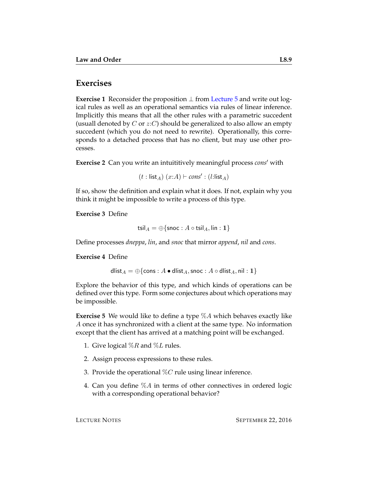## **Exercises**

**Exercise 1** Reconsider the proposition ⊥ from [Lecture 5](http://www.cs.cmu.edu/~fp/courses/15816-f16/lectures/05-pap.pdf) and write out logical rules as well as an operational semantics via rules of linear inference. Implicitly this means that all the other rules with a parametric succedent (usuall denoted by C or  $z:C$ ) should be generalized to also allow an empty succedent (which you do not need to rewrite). Operationally, this corresponds to a detached process that has no client, but may use other processes.

<span id="page-8-0"></span>**Exercise 2** Can you write an intuititively meaningful process *cons'* with

 $(t : list_A)$   $(x:A) \vdash cons' : (l:list_A)$ 

If so, show the definition and explain what it does. If not, explain why you think it might be impossible to write a process of this type.

**Exercise 3** Define

```
tsil_A = \bigoplus{snoc : A \circ tsil_A, lin : 1}
```
Define processes *dneppa*, *lin*, and *snoc* that mirror *append*, *nil* and *cons*.

**Exercise 4** Define

$$
\mathsf{dlist}_A = \oplus \{\mathsf{cons} : A \bullet \mathsf{dlist}_A, \mathsf{snoc} : A \circ \mathsf{dlist}_A, \mathsf{nil} : \mathbf{1}\}
$$

Explore the behavior of this type, and which kinds of operations can be defined over this type. Form some conjectures about which operations may be impossible.

**Exercise 5** We would like to define a type %A which behaves exactly like A once it has synchronized with a client at the same type. No information except that the client has arrived at a matching point will be exchanged.

- 1. Give logical  $\%R$  and  $\%L$  rules.
- 2. Assign process expressions to these rules.
- 3. Provide the operational  $\%C$  rule using linear inference.
- 4. Can you define  $\%A$  in terms of other connectives in ordered logic with a corresponding operational behavior?